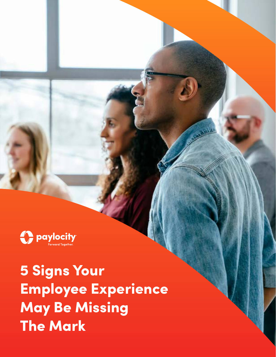

5 Signs Your Employee Experience May Be Missing The Mark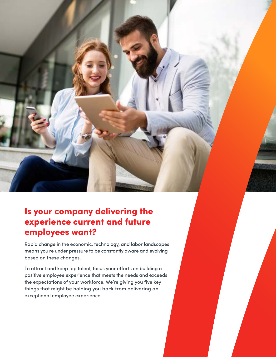

Rapid change in the economic, technology, and labor landscapes means you're under pressure to be constantly aware and evolving based on these changes.

To attract and keep top talent, focus your efforts on building a positive employee experience that meets the needs and exceeds the expectations of your workforce. We're giving you five key things that might be holding you back from delivering an exceptional employee experience.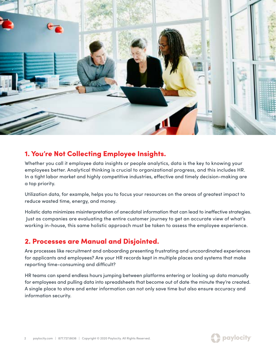

### 1. You're Not Collecting Employee Insights.

Whether you call it employee data insights or people analytics, data is the key to knowing your employees better. Analytical thinking is crucial to organizational progress, and this includes HR. In a tight labor market and highly competitive industries, effective and timely decision-making are a top priority.

Utilization data, for example, helps you to focus your resources on the areas of greatest impact to reduce wasted time, energy, and money.

Holistic data minimizes misinterpretation of anecdotal information that can lead to ineffective strategies. Just as companies are evaluating the entire customer journey to get an accurate view of what's working in-house, this same holistic approach must be taken to assess the employee experience.

# 2. Processes are Manual and Disjointed.

Are processes like recruitment and onboarding presenting frustrating and uncoordinated experiences for applicants and employees? Are your HR records kept in multiple places and systems that make reporting time-consuming and difficult?

HR teams can spend endless hours jumping between platforms entering or looking up data manually for employees and pulling data into spreadsheets that become out of date the minute they're created. A single place to store and enter information can not only save time but also ensure accuracy and information security.

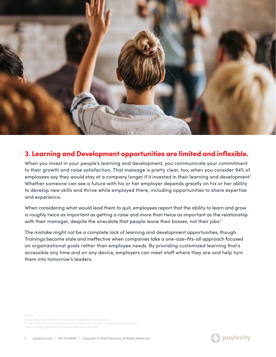

#### 3. Learning and Development opportunities are limited and inflexible.

When you invest in your people's learning and development, you communicate your commitment to their growth and raise satisfaction. That message is pretty clear, too, when you consider 94% of employees say they would stay at a company longer if it invested in their learning and development.<sup>1</sup> Whether someone can see a future with his or her employer depends greatly on his or her ability to develop new skills and thrive while employed there, including opportunities to share expertise and experience.

When considering what would lead them to quit, employees report that the ability to learn and grow is roughly twice as important as getting a raise and more than twice as important as the relationship with their manager, despite the anecdote that people leave their bosses, not their jobs.<sup>2</sup>

The mistake might not be a complete lack of learning and development opportunities, though. Trainings become stale and ineffective when companies take a one-size-fits-all approach focused on organizational goals rather than employee needs. By providing customized learning that's accessible any time and on any device, employers can meet staff where they are and help turn them into tomorrow's leaders.

- 1 <https://learning.linkedin.com/resources/workplace-learning-report>
- 2 <https://www.linkedin.com/pulse/want-happy-work-spend-time-learning-josh-bersin/>

<https://hbr.org/2018/01/why-people-really-quit-their-jobs>

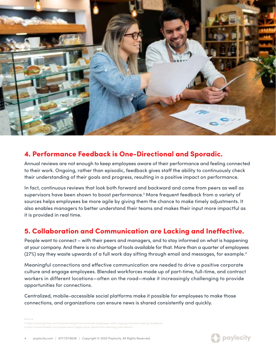

### 4. Performance Feedback is One-Directional and Sporadic.

Annual reviews are not enough to keep employees aware of their performance and feeling connected to their work. Ongoing, rather than episodic, feedback gives staff the ability to continuously check their understanding of their goals and progress, resulting in a positive impact on performance.

In fact, continuous reviews that look both forward and backward and come from peers as well as supervisors have been shown to boost performance.<sup>3</sup> More frequent feedback from a variety of sources helps employees be more agile by giving them the chance to make timely adjustments. It also enables managers to better understand their teams and makes their input more impactful as it is provided in real time.

# 5. Collaboration and Communication are Lacking and Ineffective.

People want to connect – with their peers and managers, and to stay informed on what is happening at your company. And there is no shortage of tools available for that. More than a quarter of employees (27%) say they waste upwards of a full work day sifting through email and messages, for example.4

Meaningful connections and effective communication are needed to drive a positive corporate culture and engage employees. Blended workforces made up of part-time, full-time, and contract workers in different locations—often on the road—make it increasingly challenging to provide opportunities for connections.

Centralized, mobile-accessible social platforms make it possible for employees to make those connections, and organizations can ensure news is shared consistently and quickly.

Source 1 ployees-with-ongoing-forward-looking-feedback 4 <https://www.linkedin.com/pulse/want-happy-work-spend-time-learning-josh-bersin/>